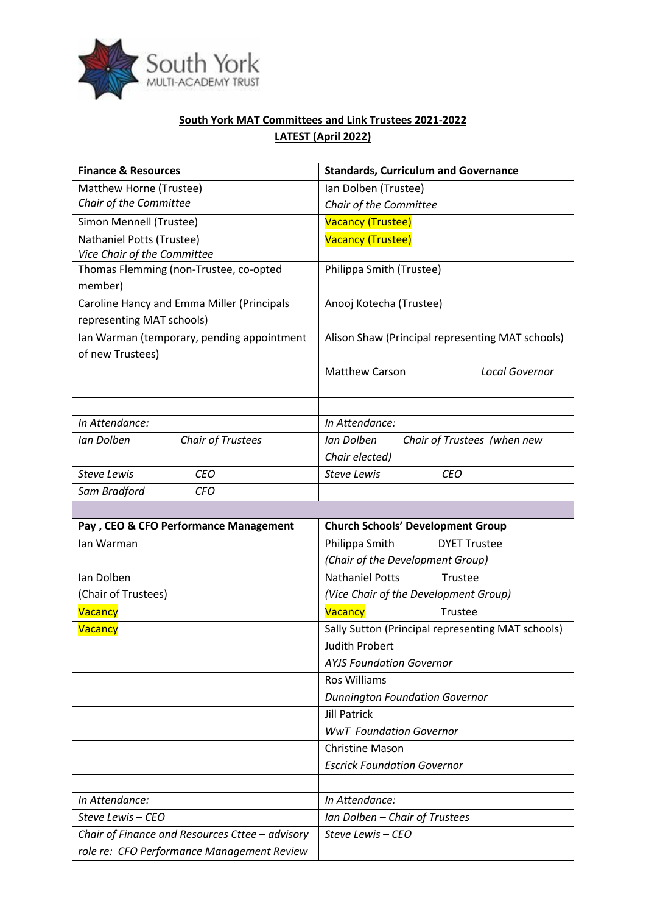

## **South York MAT Committees and Link Trustees 2021-2022 LATEST (April 2022)**

| <b>Finance &amp; Resources</b>                                                                | <b>Standards, Curriculum and Governance</b>       |
|-----------------------------------------------------------------------------------------------|---------------------------------------------------|
| Matthew Horne (Trustee)                                                                       | Ian Dolben (Trustee)                              |
| Chair of the Committee                                                                        | Chair of the Committee                            |
| Simon Mennell (Trustee)                                                                       | Vacancy (Trustee)                                 |
| Nathaniel Potts (Trustee)                                                                     | <b>Vacancy (Trustee)</b>                          |
| Vice Chair of the Committee                                                                   |                                                   |
| Thomas Flemming (non-Trustee, co-opted                                                        | Philippa Smith (Trustee)                          |
| member)                                                                                       |                                                   |
| Caroline Hancy and Emma Miller (Principals                                                    | Anooj Kotecha (Trustee)                           |
| representing MAT schools)                                                                     |                                                   |
| Ian Warman (temporary, pending appointment                                                    | Alison Shaw (Principal representing MAT schools)  |
| of new Trustees)                                                                              |                                                   |
|                                                                                               | <b>Matthew Carson</b><br><b>Local Governor</b>    |
|                                                                                               |                                                   |
|                                                                                               |                                                   |
| In Attendance:                                                                                | In Attendance:                                    |
| Ian Dolben<br>Chair of Trustees                                                               | Ian Dolben<br>Chair of Trustees (when new         |
|                                                                                               | Chair elected)                                    |
| <b>Steve Lewis</b><br><b>CEO</b>                                                              | <b>Steve Lewis</b><br><b>CEO</b>                  |
| Sam Bradford<br><b>CFO</b>                                                                    |                                                   |
|                                                                                               |                                                   |
|                                                                                               |                                                   |
| Pay, CEO & CFO Performance Management                                                         | <b>Church Schools' Development Group</b>          |
| lan Warman                                                                                    | Philippa Smith<br><b>DYET Trustee</b>             |
|                                                                                               | (Chair of the Development Group)                  |
| Ian Dolben                                                                                    | <b>Nathaniel Potts</b><br>Trustee                 |
| (Chair of Trustees)                                                                           | (Vice Chair of the Development Group)             |
| Vacancy                                                                                       | Vacancy<br>Trustee                                |
| Vacancy                                                                                       | Sally Sutton (Principal representing MAT schools) |
|                                                                                               | Judith Probert                                    |
|                                                                                               | <b>AYJS Foundation Governor</b>                   |
|                                                                                               | <b>Ros Williams</b>                               |
|                                                                                               | <b>Dunnington Foundation Governor</b>             |
|                                                                                               | <b>Jill Patrick</b>                               |
|                                                                                               | <b>WwT</b> Foundation Governor                    |
|                                                                                               | <b>Christine Mason</b>                            |
|                                                                                               | <b>Escrick Foundation Governor</b>                |
|                                                                                               |                                                   |
| In Attendance:                                                                                | In Attendance:                                    |
| Steve Lewis - CEO                                                                             | Ian Dolben - Chair of Trustees                    |
| Chair of Finance and Resources Cttee - advisory<br>role re: CFO Performance Management Review | Steve Lewis - CEO                                 |